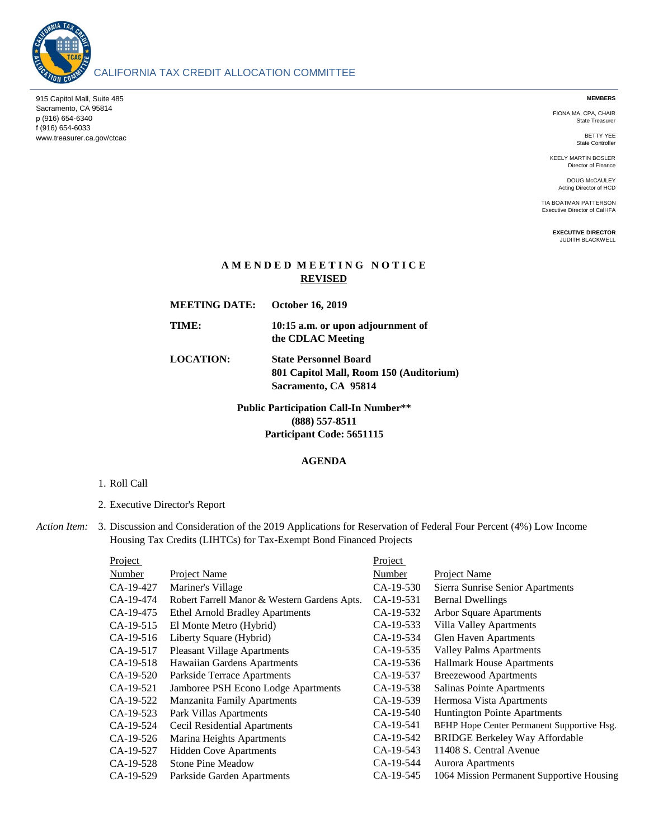

# CALIFORNIA TAX CREDIT ALLOCATION COMMITTEE

915 Capitol Mall, Suite 485 Sacramento, CA 95814 p (916) 654-6340 f (916) 654-6033 www.treasurer.ca.gov/ctcac **MEMBERS**

FIONA MA, CPA, CHAIR State Treasurer

> BETTY YEE State Controller

KEELY MARTIN BOSLER Director of Finance

DOUG McCAULEY Acting Director of HCD

TIA BOATMAN PATTERSON Executive Director of CalHFA

> **EXECUTIVE DIRECTOR** JUDITH BLACKWELL

## **A M E N D E D M E E T I N G N O T I C E REVISED**

| <b>MEETING DATE:</b> | <b>October 16, 2019</b>                                                                         |
|----------------------|-------------------------------------------------------------------------------------------------|
| TIME:                | 10:15 a.m. or upon adjournment of<br>the CDLAC Meeting                                          |
| <b>LOCATION:</b>     | <b>State Personnel Board</b><br>801 Capitol Mall, Room 150 (Auditorium)<br>Sacramento, CA 95814 |

**(888) 557-8511 Participant Code: 5651115 Public Participation Call-In Number\*\***

### **AGENDA**

#### 1. Roll Call

2. Executive Director's Report

*Action Item:* 3. Discussion and Consideration of the 2019 Applications for Reservation of Federal Four Percent (4%) Low Income Housing Tax Credits (LIHTCs) for Tax-Exempt Bond Financed Projects

| Project       |                                              | Project   |                                            |
|---------------|----------------------------------------------|-----------|--------------------------------------------|
| <b>Number</b> | Project Name                                 | Number    | Project Name                               |
| CA-19-427     | Mariner's Village                            | CA-19-530 | Sierra Sunrise Senior Apartments           |
| CA-19-474     | Robert Farrell Manor & Western Gardens Apts. | CA-19-531 | <b>Bernal Dwellings</b>                    |
| CA-19-475     | <b>Ethel Arnold Bradley Apartments</b>       | CA-19-532 | Arbor Square Apartments                    |
| CA-19-515     | El Monte Metro (Hybrid)                      | CA-19-533 | Villa Valley Apartments                    |
| CA-19-516     | Liberty Square (Hybrid)                      | CA-19-534 | Glen Haven Apartments                      |
| CA-19-517     | <b>Pleasant Village Apartments</b>           | CA-19-535 | <b>Valley Palms Apartments</b>             |
| CA-19-518     | Hawaiian Gardens Apartments                  | CA-19-536 | <b>Hallmark House Apartments</b>           |
| CA-19-520     | Parkside Terrace Apartments                  | CA-19-537 | <b>Breezewood Apartments</b>               |
| CA-19-521     | Jamboree PSH Econo Lodge Apartments          | CA-19-538 | Salinas Pointe Apartments                  |
| CA-19-522     | <b>Manzanita Family Apartments</b>           | CA-19-539 | Hermosa Vista Apartments                   |
| CA-19-523     | Park Villas Apartments                       | CA-19-540 | Huntington Pointe Apartments               |
| CA-19-524     | Cecil Residential Apartments                 | CA-19-541 | BFHP Hope Center Permanent Supportive Hsg. |
| CA-19-526     | Marina Heights Apartments                    | CA-19-542 | <b>BRIDGE Berkeley Way Affordable</b>      |
| CA-19-527     | Hidden Cove Apartments                       | CA-19-543 | 11408 S. Central Avenue                    |
| CA-19-528     | <b>Stone Pine Meadow</b>                     | CA-19-544 | <b>Aurora Apartments</b>                   |
| CA-19-529     | Parkside Garden Apartments                   | CA-19-545 | 1064 Mission Permanent Supportive Housing  |